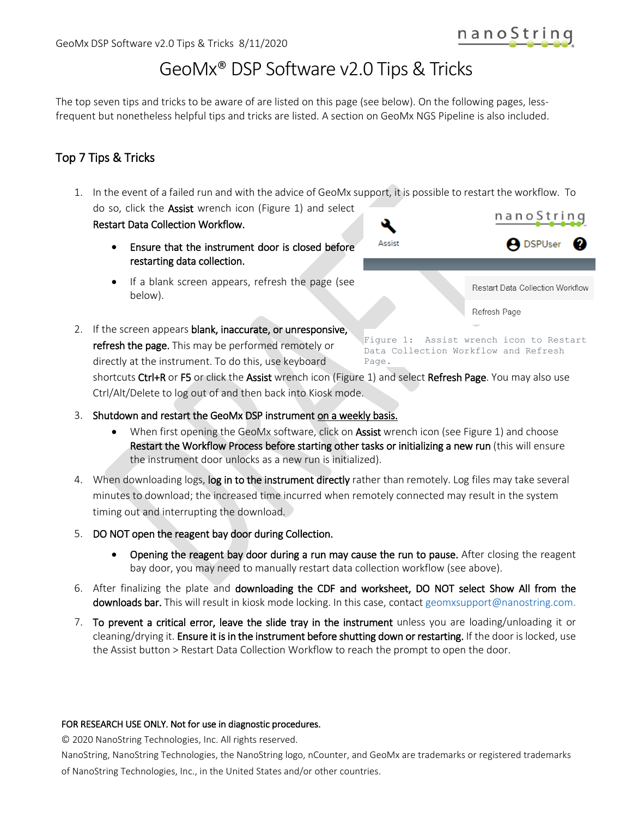**A** DSPUser

Restart Data Collection Workflow

# GeoMx® DSP Software v2.0 Tips & Tricks

The top seven tips and tricks to be aware of are listed on this page (see below). On the following pages, lessfrequent but nonetheless helpful tips and tricks are listed. A section on GeoMx NGS Pipeline is also included.

## Top 7 Tips & Tricks

1. In the event of a failed run and with the advice of GeoMx support, it is possible to restart the workflow. To do so, click the **Assist** wrench icon (Figure 1) and select nanoString Restart Data Collection Workflow.

Assist

- Ensure that the instrument door is closed before restarting data collection.
- If a blank screen appears, refresh the page (see below).
- 2. If the screen appears blank, inaccurate, or unresponsive, refresh the page. This may be performed remotely or directly at the instrument. To do this, use keyboard

Figure 1: Assist wrench icon to Restart Data Collection Workflow and Refresh Page.

Refresh Page

shortcuts Ctrl+R or F5 or click the Assist wrench icon (Figure 1) and select Refresh Page. You may also use Ctrl/Alt/Delete to log out of and then back into Kiosk mode.

- 3. Shutdown and restart the GeoMx DSP instrument on a weekly basis.
	- When first opening the GeoMx software, click on Assist wrench icon (see Figure 1) and choose Restart the Workflow Process before starting other tasks or initializing a new run (this will ensure the instrument door unlocks as a new run is initialized).
- 4. When downloading logs, log in to the instrument directly rather than remotely. Log files may take several minutes to download; the increased time incurred when remotely connected may result in the system timing out and interrupting the download.
- 5. DO NOT open the reagent bay door during Collection.
	- Opening the reagent bay door during a run may cause the run to pause. After closing the reagent bay door, you may need to manually restart data collection workflow (see above).
- 6. After finalizing the plate and downloading the CDF and worksheet, DO NOT select Show All from the downloads bar. This will result in kiosk mode locking. In this case, contac[t geomxsupport@nanostring.com.](mailto:geomxsupport@nanostring.com)
- 7. To prevent a critical error, leave the slide tray in the instrument unless you are loading/unloading it or cleaning/drying it. Ensure it is in the instrument before shutting down or restarting. If the door is locked, use the Assist button > Restart Data Collection Workflow to reach the prompt to open the door.

#### FOR RESEARCH USE ONLY. Not for use in diagnostic procedures.

© 2020 NanoString Technologies, Inc. All rights reserved.

NanoString, NanoString Technologies, the NanoString logo, nCounter, and GeoMx are trademarks or registered trademarks of NanoString Technologies, Inc., in the United States and/or other countries.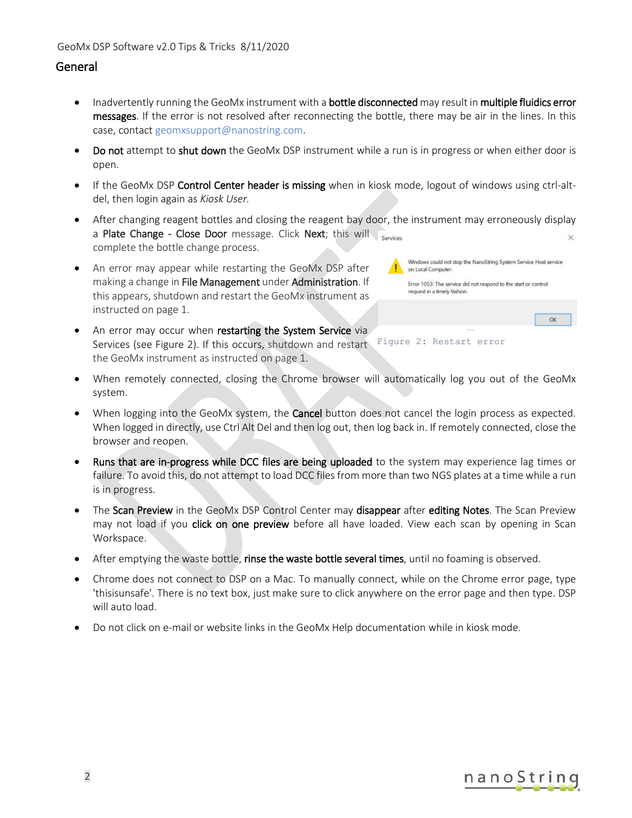#### General

- Inadvertently running the GeoMx instrument with a bottle disconnected may result in multiple fluidics error messages. If the error is not resolved after reconnecting the bottle, there may be air in the lines. In this case, contac[t geomxsupport@nanostring.com.](mailto:geomxsupport@nanostring.com)
- Do not attempt to shut down the GeoMx DSP instrument while a run is in progress or when either door is open.
- If the GeoMx DSP **Control Center header is missing** when in kiosk mode, logout of windows using ctrl-altdel, then login again as *Kiosk User.*
- After changing reagent bottles and closing the reagent bay door, the instrument may erroneously display a Plate Change - Close Door message. Click Next; this will complete the bottle change process.
- An error may appear while restarting the GeoMx DSP after making a change in File Management under Administration. If this appears, shutdown and restart the GeoMx instrument as instructed on page 1.
- An error may occur when restarting the System Service via Services (see Figure 2). If this occurs, shutdown and restart Figure 2: Restart error the GeoMx instrument as instructed on page 1.
- When remotely connected, closing the Chrome browser will automatically log you out of the GeoMx system.
- When logging into the GeoMx system, the **Cancel** button does not cancel the login process as expected. When logged in directly, use Ctrl Alt Del and then log out, then log back in. If remotely connected, close the browser and reopen.
- Runs that are in-progress while DCC files are being uploaded to the system may experience lag times or failure. To avoid this, do not attempt to load DCC files from more than two NGS plates at a time while a run is in progress.
- The Scan Preview in the GeoMx DSP Control Center may disappear after editing Notes. The Scan Preview may not load if you click on one preview before all have loaded. View each scan by opening in Scan Workspace.
- After emptying the waste bottle, rinse the waste bottle several times, until no foaming is observed.
- Chrome does not connect to DSP on a Mac. To manually connect, while on the Chrome error page, type 'thisisunsafe'. There is no text box, just make sure to click anywhere on the error page and then type. DSP will auto load.
- Do not click on e-mail or website links in the GeoMx Help documentation while in kiosk mode.



Windows could not stop the NanoString System Service Host service

OK

Error 1053: The service did not respond to the start or control

on Local Computer

request in a timely fashion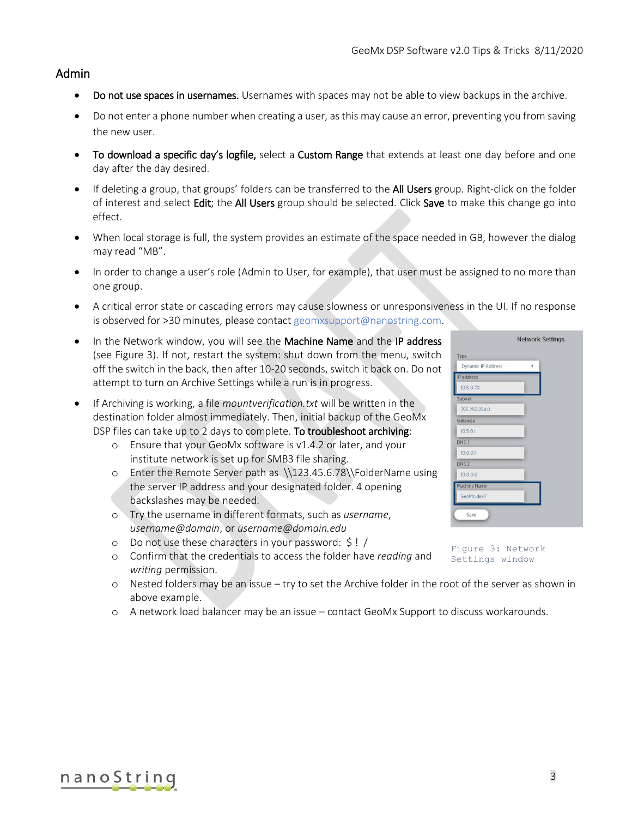#### Admin

- Do not use spaces in usernames. Usernames with spaces may not be able to view backups in the archive.
- Do not enter a phone number when creating a user, as this may cause an error, preventing you from saving the new user.
- To download a specific day's logfile, select a Custom Range that extends at least one day before and one day after the day desired.
- If deleting a group, that groups' folders can be transferred to the **All Users** group. Right-click on the folder of interest and select Edit; the All Users group should be selected. Click Save to make this change go into effect.
- When local storage is full, the system provides an estimate of the space needed in GB, however the dialog may read "MB".
- In order to change a user's role (Admin to User, for example), that user must be assigned to no more than one group.
- A critical error state or cascading errors may cause slowness or unresponsiveness in the UI. If no response is observed for >30 minutes, please contac[t geomxsupport@nanostring.com.](mailto:geomxsupport@nanostring.com)
- In the Network window, you will see the Machine Name and the IP address (see Figure 3). If not, restart the system: shut down from the menu, switch off the switch in the back, then after 10-20 seconds, switch it back on. Do not attempt to turn on Archive Settings while a run is in progress.
- If Archiving is working, a file *mountverification.txt* will be written in the destination folder almost immediately. Then, initial backup of the GeoMx DSP files can take up to 2 days to complete. To troubleshoot archiving:
	- o Ensure that your GeoMx software is v1.4.2 or later, and your institute network is set up for SMB3 file sharing.
	- o Enter the Remote Server path as [\\123.45.6.78\\FolderName](file://///123.45.6.78/FolderName) using the server IP address and your designated folder. 4 opening backslashes may be needed.
	- o Try the username in different formats, such as *username*, *username@domain*, or *[username@domain.edu](mailto:username@domain.edu)*
	- o Do not use these characters in your password: \$ ! /
	- o Confirm that the credentials to access the folder have *reading* and *writing* permission.
	- o Nested folders may be an issue try to set the Archive folder in the root of the server as shown in above example.
	- o A network load balancer may be an issue contact GeoMx Support to discuss workarounds.

| Dynamic IP Address  | ۳ |  |
|---------------------|---|--|
| IP address          |   |  |
| 10.5.0.70           |   |  |
| Subnet              |   |  |
| 255.255.254.0       |   |  |
| Gateway             |   |  |
| 10.5.01             |   |  |
| DNS <sub>1</sub>    |   |  |
| 10.0.0.1            |   |  |
| DNS <sub>2</sub>    |   |  |
| 10.0.0.6            |   |  |
| <b>Machine Name</b> |   |  |
| GeoMx-dev7          |   |  |

Figure 3: Network Settings window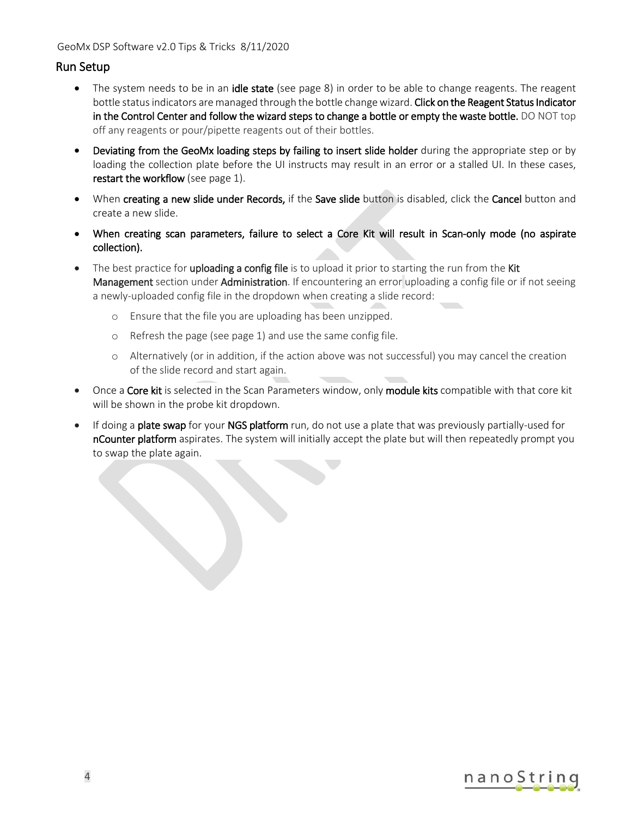#### Run Setup

- The system needs to be in an [idle state](#page-7-0) (see page [8\)](#page-7-0) in order to be able to change reagents. The reagent bottle status indicators are managed through the bottle change wizard. Click on the Reagent Status Indicator in the Control Center and follow the wizard steps to change a bottle or empty the waste bottle. DO NOT top off any reagents or pour/pipette reagents out of their bottles.
- Deviating from the GeoMx loading steps by failing to insert slide holder during the appropriate step or by loading the collection plate before the UI instructs may result in an error or a stalled UI. In these cases, restart the workflow (see page 1).
- When creating a new slide under Records, if the Save slide button is disabled, click the Cancel button and create a new slide.
- When creating scan parameters, failure to select a Core Kit will result in Scan-only mode (no aspirate collection).
- The best practice for **uploading a config file** is to upload it prior to starting the run from the **Kit** Management section under Administration. If encountering an error uploading a config file or if not seeing a newly-uploaded config file in the dropdown when creating a slide record:
	- o Ensure that the file you are uploading has been unzipped.
	- o Refresh the page (see page 1) and use the same config file.
	- o Alternatively (or in addition, if the action above was not successful) you may cancel the creation of the slide record and start again.
- Once a Core kit is selected in the Scan Parameters window, only module kits compatible with that core kit will be shown in the probe kit dropdown.
- If doing a plate swap for your NGS platform run, do not use a plate that was previously partially-used for nCounter platform aspirates. The system will initially accept the plate but will then repeatedly prompt you to swap the plate again.

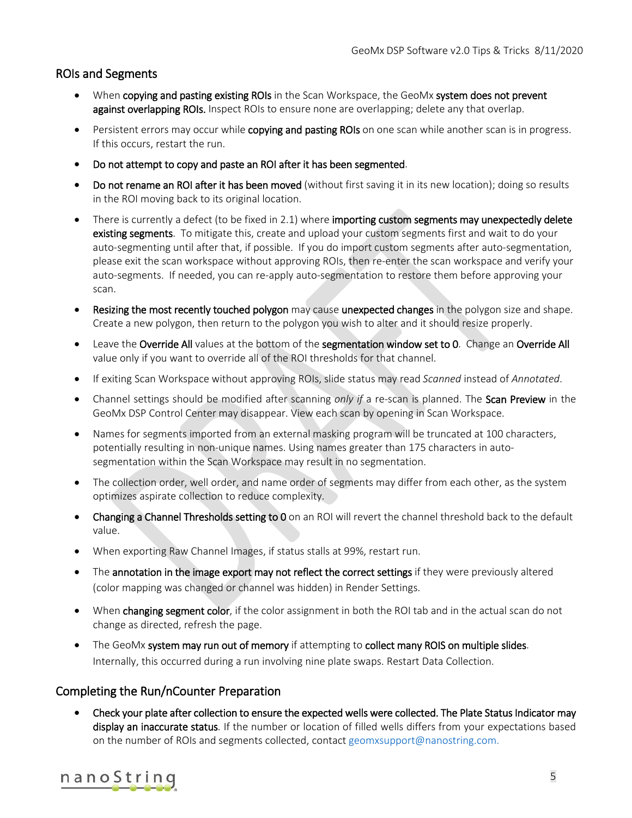#### ROIs and Segments

- When copying and pasting existing ROIs in the Scan Workspace, the GeoMx system does not prevent against overlapping ROIs. Inspect ROIs to ensure none are overlapping; delete any that overlap.
- Persistent errors may occur while copying and pasting ROIs on one scan while another scan is in progress. If this occurs, restart the run.
- Do not attempt to copy and paste an ROI after it has been segmented.
- Do not rename an ROI after it has been moved (without first saving it in its new location); doing so results in the ROI moving back to its original location.
- There is currently a defect (to be fixed in 2.1) where importing custom segments may unexpectedly delete existing segments. To mitigate this, create and upload your custom segments first and wait to do your auto-segmenting until after that, if possible. If you do import custom segments after auto-segmentation, please exit the scan workspace without approving ROIs, then re-enter the scan workspace and verify your auto-segments. If needed, you can re-apply auto-segmentation to restore them before approving your scan.
- Resizing the most recently touched polygon may cause unexpected changes in the polygon size and shape. Create a new polygon, then return to the polygon you wish to alter and it should resize properly.
- Leave the Override All values at the bottom of the segmentation window set to 0. Change an Override All value only if you want to override all of the ROI thresholds for that channel.
- If exiting Scan Workspace without approving ROIs, slide status may read *Scanned* instead of *Annotated*.
- Channel settings should be modified after scanning *only if* a re-scan is planned. The Scan Preview in the GeoMx DSP Control Center may disappear. View each scan by opening in Scan Workspace.
- Names for segments imported from an external masking program will be truncated at 100 characters, potentially resulting in non-unique names. Using names greater than 175 characters in autosegmentation within the Scan Workspace may result in no segmentation.
- The collection order, well order, and name order of segments may differ from each other, as the system optimizes aspirate collection to reduce complexity.
- Changing a Channel Thresholds setting to 0 on an ROI will revert the channel threshold back to the default value.
- When exporting Raw Channel Images, if status stalls at 99%, restart run.
- The annotation in the image export may not reflect the correct settings if they were previously altered (color mapping was changed or channel was hidden) in Render Settings.
- When changing segment color, if the color assignment in both the ROI tab and in the actual scan do not change as directed, refresh the page.
- The GeoMx system may run out of memory if attempting to collect many ROIS on multiple slides. Internally, this occurred during a run involving nine plate swaps. Restart Data Collection.

#### Completing the Run/nCounter Preparation

• Check your plate after collection to ensure the expected wells were collected. The Plate Status Indicator may display an inaccurate status. If the number or location of filled wells differs from your expectations based on the number of ROIs and segments collected, contact [geomxsupport@nanostring.com.](mailto:geomxsupport@nanostring.com)

## nanoString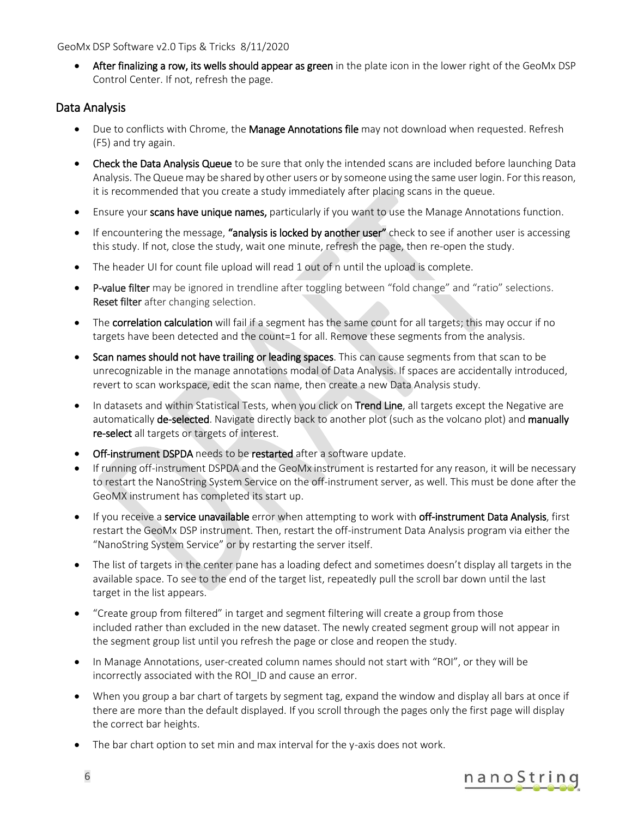#### GeoMx DSP Software v2.0 Tips & Tricks 8/11/2020

• After finalizing a row, its wells should appear as green in the plate icon in the lower right of the GeoMx DSP Control Center. If not, refresh the page.

#### Data Analysis

- Due to conflicts with Chrome, the Manage Annotations file may not download when requested. Refresh (F5) and try again.
- Check the Data Analysis Queue to be sure that only the intended scans are included before launching Data Analysis. The Queue may be shared by other users or by someone using the same user login. For this reason, it is recommended that you create a study immediately after placing scans in the queue.
- Ensure your scans have unique names, particularly if you want to use the Manage Annotations function.
- If encountering the message, "analysis is locked by another user" check to see if another user is accessing this study. If not, close the study, wait one minute, refresh the page, then re-open the study.
- The header UI for count file upload will read 1 out of n until the upload is complete.
- P-value filter may be ignored in trendline after toggling between "fold change" and "ratio" selections. Reset filter after changing selection.
- The correlation calculation will fail if a segment has the same count for all targets; this may occur if no targets have been detected and the count=1 for all. Remove these segments from the analysis.
- Scan names should not have trailing or leading spaces. This can cause segments from that scan to be unrecognizable in the manage annotations modal of Data Analysis. If spaces are accidentally introduced, revert to scan workspace, edit the scan name, then create a new Data Analysis study.
- In datasets and within Statistical Tests, when you click on Trend Line, all targets except the Negative are automatically de-selected. Navigate directly back to another plot (such as the volcano plot) and manually re-select all targets or targets of interest.
- Off-instrument DSPDA needs to be restarted after a software update.
- If running off-instrument DSPDA and the GeoMx instrument is restarted for any reason, it will be necessary to restart the NanoString System Service on the off-instrument server, as well. This must be done after the GeoMX instrument has completed its start up.
- If you receive a service unavailable error when attempting to work with off-instrument Data Analysis, first restart the GeoMx DSP instrument. Then, restart the off-instrument Data Analysis program via either the "NanoString System Service" or by restarting the server itself.
- The list of targets in the center pane has a loading defect and sometimes doesn't display all targets in the available space. To see to the end of the target list, repeatedly pull the scroll bar down until the last target in the list appears.
- "Create group from filtered" in target and segment filtering will create a group from those included rather than excluded in the new dataset. The newly created segment group will not appear in the segment group list until you refresh the page or close and reopen the study.
- In Manage Annotations, user-created column names should not start with "ROI", or they will be incorrectly associated with the ROI\_ID and cause an error.
- When you group a bar chart of targets by segment tag, expand the window and display all bars at once if there are more than the default displayed. If you scroll through the pages only the first page will display the correct bar heights.
- The bar chart option to set min and max interval for the y-axis does not work.

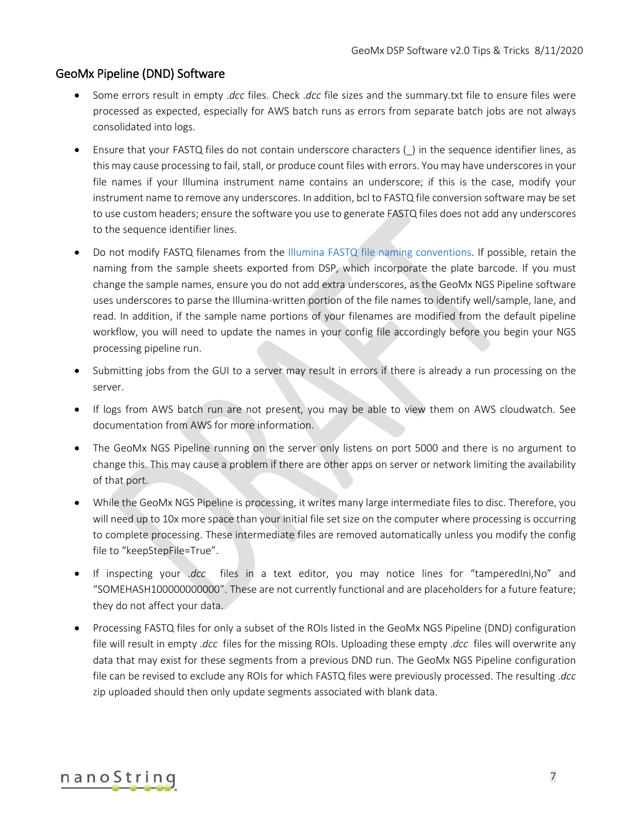### GeoMx Pipeline (DND) Software

- Some errors result in empty .*dcc* files. Check .*dcc* file sizes and the summary.txt file to ensure files were processed as expected, especially for AWS batch runs as errors from separate batch jobs are not always consolidated into logs.
- Ensure that your FASTQ files do not contain underscore characters (\_) in the sequence identifier lines, as this may cause processing to fail, stall, or produce count files with errors. You may have underscores in your file names if your Illumina instrument name contains an underscore; if this is the case, modify your instrument name to remove any underscores. In addition, bcl to FASTQ file conversion software may be set to use custom headers; ensure the software you use to generate FASTQ files does not add any underscores to the sequence identifier lines.
- Do not modify FASTQ filenames from the [Illumina FASTQ file naming conventions.](https://support.illumina.com/help/BaseSpace_OLH_009008/Content/Source/Informatics/BS/NamingConvention_FASTQ-files-swBS.htm) If possible, retain the naming from the sample sheets exported from DSP, which incorporate the plate barcode. If you must change the sample names, ensure you do not add extra underscores, as the GeoMx NGS Pipeline software uses underscores to parse the Illumina-written portion of the file names to identify well/sample, lane, and read. In addition, if the sample name portions of your filenames are modified from the default pipeline workflow, you will need to update the names in your config file accordingly before you begin your NGS processing pipeline run.
- Submitting jobs from the GUI to a server may result in errors if there is already a run processing on the server.
- If logs from AWS batch run are not present, you may be able to view them on AWS cloudwatch. See documentation from AWS for more information.
- The GeoMx NGS Pipeline running on the server only listens on port 5000 and there is no argument to change this. This may cause a problem if there are other apps on server or network limiting the availability of that port.
- While the GeoMx NGS Pipeline is processing, it writes many large intermediate files to disc. Therefore, you will need up to 10x more space than your initial file set size on the computer where processing is occurring to complete processing. These intermediate files are removed automatically unless you modify the config file to "keepStepFile=True".
- If inspecting your .*dcc* files in a text editor, you may notice lines for "tamperedIni,No" and "SOMEHASH100000000000". These are not currently functional and are placeholders for a future feature; they do not affect your data.
- Processing FASTQ files for only a subset of the ROIs listed in the GeoMx NGS Pipeline (DND) configuration file will result in empty .*dcc* files for the missing ROIs. Uploading these empty .*dcc* files will overwrite any data that may exist for these segments from a previous DND run. The GeoMx NGS Pipeline configuration file can be revised to exclude any ROIs for which FASTQ files were previously processed. The resulting .*dcc* zip uploaded should then only update segments associated with blank data.